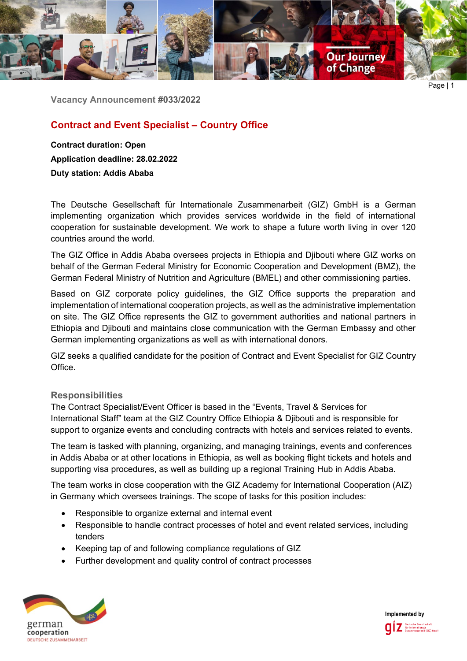

Page | 1

**Vacancy Announcement #033/2022**

# **Contract and Event Specialist – Country Office**

**Contract duration: Open Application deadline: 28.02.2022 Duty station: Addis Ababa**

The Deutsche Gesellschaft für Internationale Zusammenarbeit (GIZ) GmbH is a German implementing organization which provides services worldwide in the field of international cooperation for sustainable development. We work to shape a future worth living in over 120 countries around the world.

The GIZ Office in Addis Ababa oversees projects in Ethiopia and Djibouti where GIZ works on behalf of the German Federal Ministry for Economic Cooperation and Development (BMZ), the German Federal Ministry of Nutrition and Agriculture (BMEL) and other commissioning parties.

Based on GIZ corporate policy guidelines, the GIZ Office supports the preparation and implementation of international cooperation projects, as well as the administrative implementation on site. The GIZ Office represents the GIZ to government authorities and national partners in Ethiopia and Djibouti and maintains close communication with the German Embassy and other German implementing organizations as well as with international donors.

GIZ seeks a qualified candidate for the position of Contract and Event Specialist for GIZ Country Office.

### **Responsibilities**

The Contract Specialist/Event Officer is based in the "Events, Travel & Services for International Staff" team at the GIZ Country Office Ethiopia & Djibouti and is responsible for support to organize events and concluding contracts with hotels and services related to events.

The team is tasked with planning, organizing, and managing trainings, events and conferences in Addis Ababa or at other locations in Ethiopia, as well as booking flight tickets and hotels and supporting visa procedures, as well as building up a regional Training Hub in Addis Ababa.

The team works in close cooperation with the GIZ Academy for International Cooperation (AIZ) in Germany which oversees trainings. The scope of tasks for this position includes:

- Responsible to organize external and internal event
- Responsible to handle contract processes of hotel and event related services, including tenders
- Keeping tap of and following compliance regulations of GIZ
- Further development and quality control of contract processes



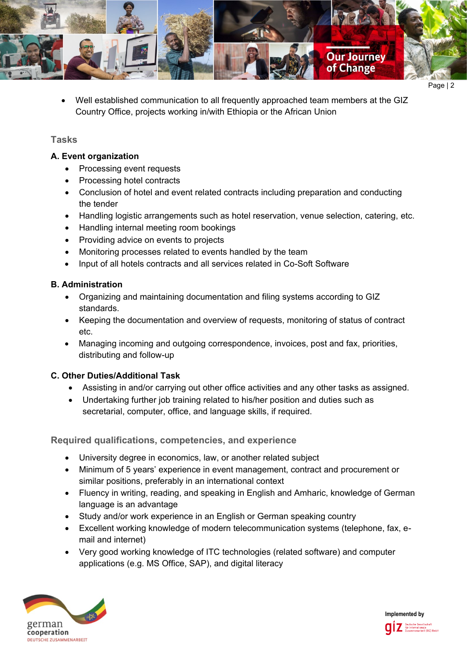

```
Page | 2
```
• Well established communication to all frequently approached team members at the GIZ Country Office, projects working in/with Ethiopia or the African Union

## **Tasks**

### **A. Event organization**

- Processing event requests
- Processing hotel contracts
- Conclusion of hotel and event related contracts including preparation and conducting the tender
- Handling logistic arrangements such as hotel reservation, venue selection, catering, etc.
- Handling internal meeting room bookings
- Providing advice on events to projects
- Monitoring processes related to events handled by the team
- Input of all hotels contracts and all services related in Co-Soft Software

### **B. Administration**

- Organizing and maintaining documentation and filing systems according to GIZ standards.
- Keeping the documentation and overview of requests, monitoring of status of contract etc.
- Managing incoming and outgoing correspondence, invoices, post and fax, priorities, distributing and follow-up

### **C. Other Duties/Additional Task**

- Assisting in and/or carrying out other office activities and any other tasks as assigned.
- Undertaking further job training related to his/her position and duties such as secretarial, computer, office, and language skills, if required.

**Required qualifications, competencies, and experience**

- University degree in economics, law, or another related subject
- Minimum of 5 years' experience in event management, contract and procurement or similar positions, preferably in an international context
- Fluency in writing, reading, and speaking in English and Amharic, knowledge of German language is an advantage
- Study and/or work experience in an English or German speaking country
- Excellent working knowledge of modern telecommunication systems (telephone, fax, email and internet)
- Very good working knowledge of ITC technologies (related software) and computer applications (e.g. MS Office, SAP), and digital literacy



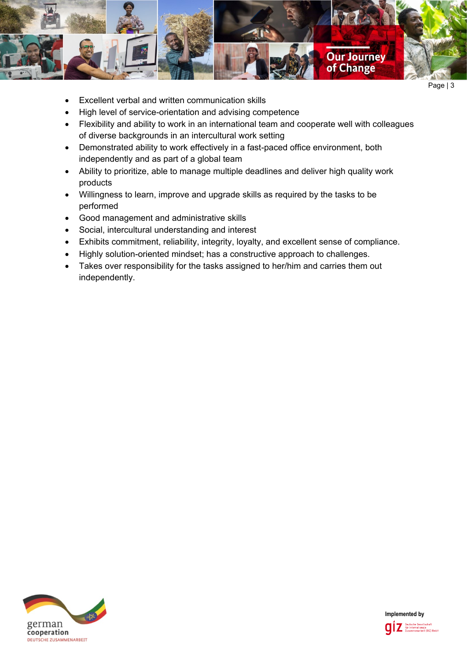

- Excellent verbal and written communication skills
- High level of service-orientation and advising competence
- Flexibility and ability to work in an international team and cooperate well with colleagues of diverse backgrounds in an intercultural work setting
- Demonstrated ability to work effectively in a fast-paced office environment, both independently and as part of a global team
- Ability to prioritize, able to manage multiple deadlines and deliver high quality work products
- Willingness to learn, improve and upgrade skills as required by the tasks to be performed
- Good management and administrative skills
- Social, intercultural understanding and interest
- Exhibits commitment, reliability, integrity, loyalty, and excellent sense of compliance.
- Highly solution-oriented mindset; has a constructive approach to challenges.
- Takes over responsibility for the tasks assigned to her/him and carries them out independently.